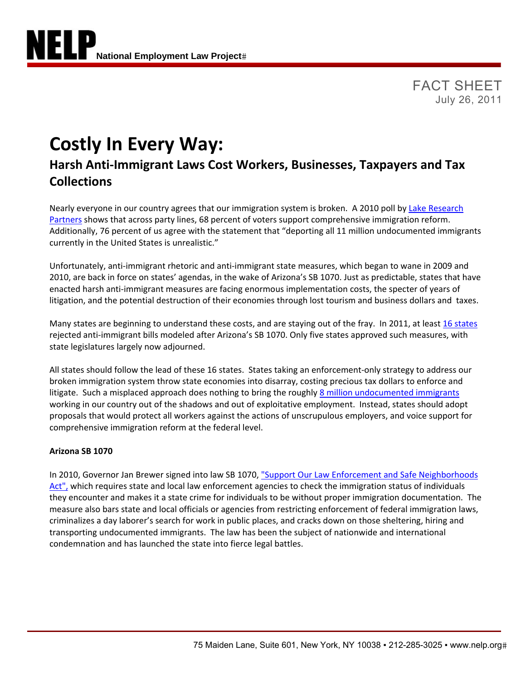FACT SHEET July 26, 2011

# **Costly In Every Way:**

# **Harsh Anti‐Immigrant Laws Cost Workers, Businesses, Taxpayers and Tax Collections**

Nearly everyone in our country agrees that our immigration system is broken. A 2010 poll by Lake Research Partners shows that across party lines, 68 percent of voters support comprehensive immigration reform. Additionally, 76 percent of us agree with the statement that "deporting all 11 million undocumented immigrants currently in the United States is unrealistic."

Unfortunately, anti‐immigrant rhetoric and anti‐immigrant state measures, which began to wane in 2009 and 2010, are back in force on states' agendas, in the wake of Arizona's SB 1070. Just as predictable, states that have enacted harsh anti-immigrant measures are facing enormous implementation costs, the specter of years of litigation, and the potential destruction of their economies through lost tourism and business dollars and taxes.

Many states are beginning to understand these costs, and are staying out of the fray. In 2011, at least 16 states rejected anti‐immigrant bills modeled after Arizona's SB 1070. Only five states approved such measures, with state legislatures largely now adjourned.

All states should follow the lead of these 16 states. States taking an enforcement‐only strategy to address our broken immigration system throw state economies into disarray, costing precious tax dollars to enforce and litigate. Such a misplaced approach does nothing to bring the roughly 8 million undocumented immigrants working in our country out of the shadows and out of exploitative employment. Instead, states should adopt proposals that would protect all workers against the actions of unscrupulous employers, and voice support for comprehensive immigration reform at the federal level.

# **Arizona SB 1070**

In 2010, Governor Jan Brewer signed into law SB 1070, "Support Our Law Enforcement and Safe Neighborhoods Act", which requires state and local law enforcement agencies to check the immigration status of individuals they encounter and makes it a state crime for individuals to be without proper immigration documentation. The measure also bars state and local officials or agencies from restricting enforcement of federal immigration laws, criminalizes a day laborer's search for work in public places, and cracks down on those sheltering, hiring and transporting undocumented immigrants. The law has been the subject of nationwide and international condemnation and has launched the state into fierce legal battles.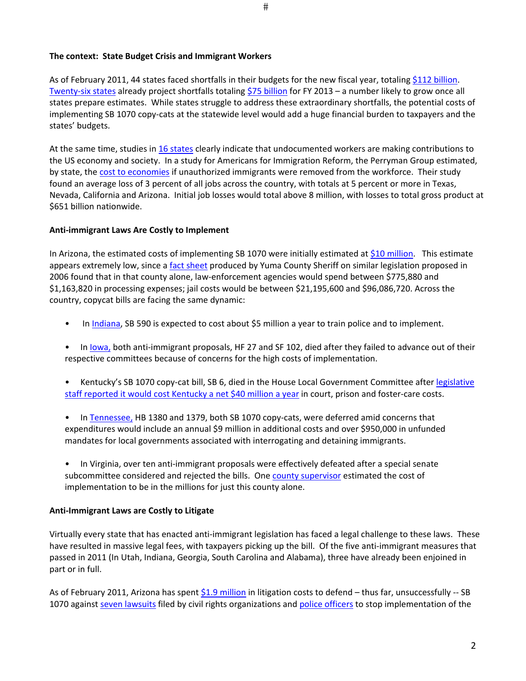As of February 2011, 44 states faced shortfalls in their budgets for the new fiscal year, totaling \$112 billion. Twenty-six states already project shortfalls totaling \$75 billion for FY 2013 – a number likely to grow once all states prepare estimates. While states struggle to address these extraordinary shortfalls, the potential costs of implementing SB 1070 copy‐cats at the statewide level would add a huge financial burden to taxpayers and the states' budgets.

At the same time, studies in 16 states clearly indicate that undocumented workers are making contributions to the US economy and society. In a study for Americans for Immigration Reform, the Perryman Group estimated, by state, the cost to economies if unauthorized immigrants were removed from the workforce. Their study found an average loss of 3 percent of all jobs across the country, with totals at 5 percent or more in Texas, Nevada, California and Arizona. Initial job losses would total above 8 million, with losses to total gross product at \$651 billion nationwide.

## **Anti‐immigrant Laws Are Costly to Implement**

In Arizona, the estimated costs of implementing SB 1070 were initially estimated at \$10 million. This estimate appears extremely low, since a fact sheet produced by Yuma County Sheriff on similar legislation proposed in 2006 found that in that county alone, law‐enforcement agencies would spend between \$775,880 and \$1,163,820 in processing expenses; jail costs would be between \$21,195,600 and \$96,086,720. Across the country, copycat bills are facing the same dynamic:

- In Indiana, SB 590 is expected to cost about \$5 million a year to train police and to implement.
- In Iowa, both anti-immigrant proposals, HF 27 and SF 102, died after they failed to advance out of their respective committees because of concerns for the high costs of implementation.
- Kentucky's SB 1070 copy-cat bill, SB 6, died in the House Local Government Committee after legislative staff reported it would cost Kentucky a net \$40 million a year in court, prison and foster-care costs.
- In Tennessee, HB 1380 and 1379, both SB 1070 copy-cats, were deferred amid concerns that expenditures would include an annual \$9 million in additional costs and over \$950,000 in unfunded mandates for local governments associated with interrogating and detaining immigrants.
- In Virginia, over ten anti-immigrant proposals were effectively defeated after a special senate subcommittee considered and rejected the bills. One county supervisor estimated the cost of implementation to be in the millions for just this county alone.

#### **Anti‐Immigrant Laws are Costly to Litigate**

Virtually every state that has enacted anti‐immigrant legislation has faced a legal challenge to these laws. These have resulted in massive legal fees, with taxpayers picking up the bill. Of the five anti-immigrant measures that passed in 2011 (In Utah, Indiana, Georgia, South Carolina and Alabama), three have already been enjoined in part or in full.

As of February 2011, Arizona has spent \$1.9 million in litigation costs to defend – thus far, unsuccessfully -- SB 1070 against seven lawsuits filed by civil rights organizations and police officers to stop implementation of the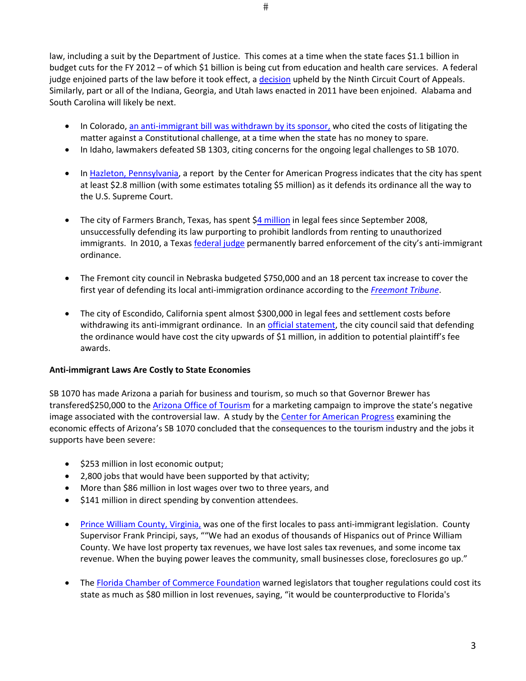law, including a suit by the Department of Justice. This comes at a time when the state faces \$1.1 billion in budget cuts for the FY 2012 – of which \$1 billion is being cut from education and health care services. A federal judge enjoined parts of the law before it took effect, a decision upheld by the Ninth Circuit Court of Appeals. Similarly, part or all of the Indiana, Georgia, and Utah laws enacted in 2011 have been enjoined. Alabama and South Carolina will likely be next.

- In Colorado, an anti-immigrant bill was withdrawn by its sponsor, who cited the costs of litigating the matter against a Constitutional challenge, at a time when the state has no money to spare.
- In Idaho, lawmakers defeated SB 1303, citing concerns for the ongoing legal challenges to SB 1070.
- In Hazleton, Pennsylvania, a report by the Center for American Progress indicates that the city has spent at least \$2.8 million (with some estimates totaling \$5 million) as it defends its ordinance all the way to the U.S. Supreme Court.
- The city of Farmers Branch, Texas, has spent \$4 million in legal fees since September 2008, unsuccessfully defending its law purporting to prohibit landlords from renting to unauthorized immigrants. In 2010, a Texas federal judge permanently barred enforcement of the city's anti-immigrant ordinance.
- The Fremont city council in Nebraska budgeted \$750,000 and an 18 percent tax increase to cover the first year of defending its local anti‐immigration ordinance according to the *Freemont Tribune*.
- The city of Escondido, California spent almost \$300,000 in legal fees and settlement costs before withdrawing its anti-immigrant ordinance. In an *official statement*, the city council said that defending the ordinance would have cost the city upwards of \$1 million, in addition to potential plaintiff's fee awards.

#### **Anti‐immigrant Laws Are Costly to State Economies**

SB 1070 has made Arizona a pariah for business and tourism, so much so that Governor Brewer has transfered\$250,000 to the Arizona Office of Tourism for a marketing campaign to improve the state's negative image associated with the controversial law. A study by the Center for American Progress examining the economic effects of Arizona's SB 1070 concluded that the consequences to the tourism industry and the jobs it supports have been severe:

- \$253 million in lost economic output;
- 2,800 jobs that would have been supported by that activity;
- More than \$86 million in lost wages over two to three years, and
- \$141 million in direct spending by convention attendees.
- Prince William County, Virginia, was one of the first locales to pass anti-immigrant legislation. County Supervisor Frank Principi, says, ""We had an exodus of thousands of Hispanics out of Prince William County. We have lost property tax revenues, we have lost sales tax revenues, and some income tax revenue. When the buying power leaves the community, small businesses close, foreclosures go up."
- The Florida Chamber of Commerce Foundation warned legislators that tougher regulations could cost its state as much as \$80 million in lost revenues, saying, "it would be counterproductive to Florida's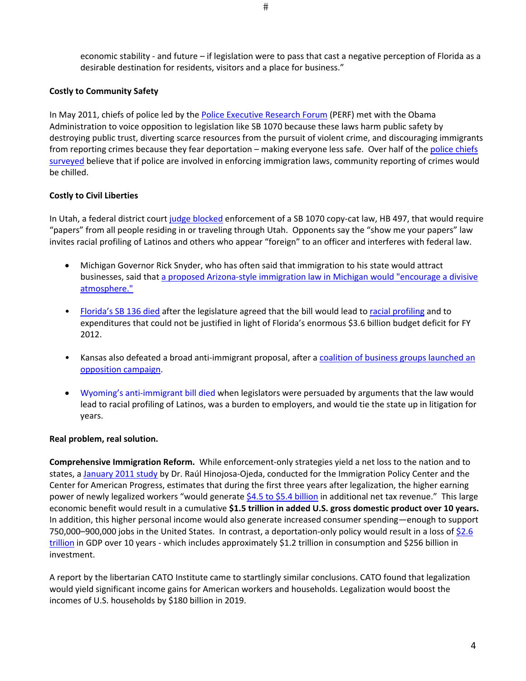economic stability ‐ and future – if legislation were to pass that cast a negative perception of Florida as a desirable destination for residents, visitors and a place for business."

#### **Costly to Community Safety**

In May 2011, chiefs of police led by the Police Executive Research Forum (PERF) met with the Obama Administration to voice opposition to legislation like SB 1070 because these laws harm public safety by destroying public trust, diverting scarce resources from the pursuit of violent crime, and discouraging immigrants from reporting crimes because they fear deportation – making everyone less safe. Over half of the police chiefs surveyed believe that if police are involved in enforcing immigration laws, community reporting of crimes would be chilled.

## **Costly to Civil Liberties**

In Utah, a federal district court judge blocked enforcement of a SB 1070 copy-cat law, HB 497, that would require "papers" from all people residing in or traveling through Utah. Opponents say the "show me your papers" law invites racial profiling of Latinos and others who appear "foreign" to an officer and interferes with federal law.

- Michigan Governor Rick Snyder, who has often said that immigration to his state would attract businesses, said that a proposed Arizona‐style immigration law in Michigan would "encourage a divisive atmosphere."
- Florida's SB 136 died after the legislature agreed that the bill would lead to racial profiling and to expenditures that could not be justified in light of Florida's enormous \$3.6 billion budget deficit for FY 2012.
- Kansas also defeated a broad anti-immigrant proposal, after a coalition of business groups launched an opposition campaign.
- Wyoming's anti‐immigrant bill died when legislators were persuaded by arguments that the law would lead to racial profiling of Latinos, was a burden to employers, and would tie the state up in litigation for years.

#### **Real problem, real solution.**

**Comprehensive Immigration Reform.** While enforcement‐only strategies yield a net loss to the nation and to states, a January 2011 study by Dr. Raúl Hinojosa-Ojeda, conducted for the Immigration Policy Center and the Center for American Progress, estimates that during the first three years after legalization, the higher earning power of newly legalized workers "would generate \$4.5 to \$5.4 billion in additional net tax revenue." This large economic benefit would result in a cumulative **\$1.5 trillion in added U.S. gross domestic product over 10 years.** In addition, this higher personal income would also generate increased consumer spending—enough to support 750,000–900,000 jobs in the United States. In contrast, a deportation-only policy would result in a loss of \$2.6 trillion in GDP over 10 years - which includes approximately \$1.2 trillion in consumption and \$256 billion in investment.

A report by the libertarian CATO Institute came to startlingly similar conclusions. CATO found that legalization would yield significant income gains for American workers and households. Legalization would boost the incomes of U.S. households by \$180 billion in 2019.